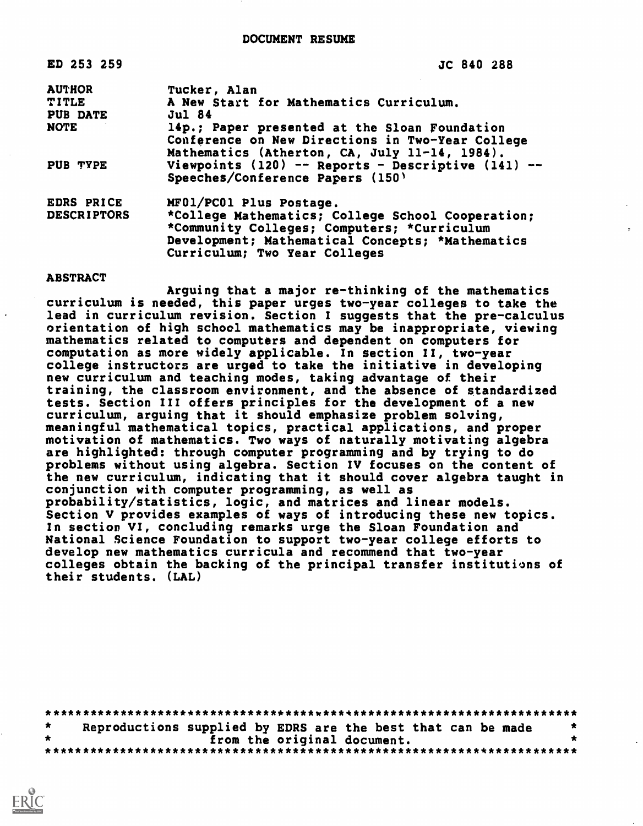| ED 253 259         | JC 840 288                                             |
|--------------------|--------------------------------------------------------|
| <b>AUTHOR</b>      | Tucker, Alan                                           |
| <b>TITLE</b>       | A New Start for Mathematics Curriculum.                |
| <b>PUB DATE</b>    | <b>Jul 84</b>                                          |
| <b>NOTE</b>        | 14p.; Paper presented at the Sloan Foundation          |
|                    | Conference on New Directions in Two-Year College       |
|                    | Mathematics (Atherton, CA, July 11-14, 1984).          |
| <b>PUB TYPE</b>    | Viewpoints $(120)$ -- Reports - Descriptive $(141)$ -- |
|                    | Speeches/Conference Papers (150)                       |
| EDRS PRICE         | MF01/PC01 Plus Postage.                                |
| <b>DESCRIPTORS</b> | *College Mathematics; College School Cooperation;      |
|                    | *Community Colleges; Computers; *Curriculum            |
|                    | Development; Mathematical Concepts; *Mathematics       |
|                    | Curriculum; Two Year Colleges                          |
|                    |                                                        |

#### ABSTRACT

Arguing that a major re-thinking of the mathematics curriculum is needed, this paper urges two-year colleges to take the lead in curriculum revision. Section I suggests that the pre-calculus orientation of high school mathematics may be inappropriate, viewing mathematics related to computers and dependent on computers for computation as more widely applicable. In section II, two-year college instructors are urged to take the initiative in developing new curriculum and teaching modes, taking advantage of their training, the classroom environment, and the absence of standardized tests. Section III offers principles for the development of a new curriculum, arguing that it should emphasize problem solving, meaningful mathematical topics, practical applications, and proper motivation of mathematics. Two ways of naturally motivating algebra are highlighted: through computer programming and by trying to do problems without using algebra. Section IV focuses on the content of the new curriculum, indicating that it should cover algebra taught in conjunction with computer programming, as well as probability/statistics, logic, and matrices and linear models. Section V provides examples of ways of introducing these new topics. In section VI, concluding remarks urge the Sloan Foundation and National Science Foundation to support two-year college efforts to develop new mathematics curricula and recommend that two-year colleges obtain the backing of the principal transfer institutions of their students. (LAL)

|         | Reproductions supplied by EDRS are the best that can be made |  |
|---------|--------------------------------------------------------------|--|
| $\star$ | from the original document.                                  |  |
|         |                                                              |  |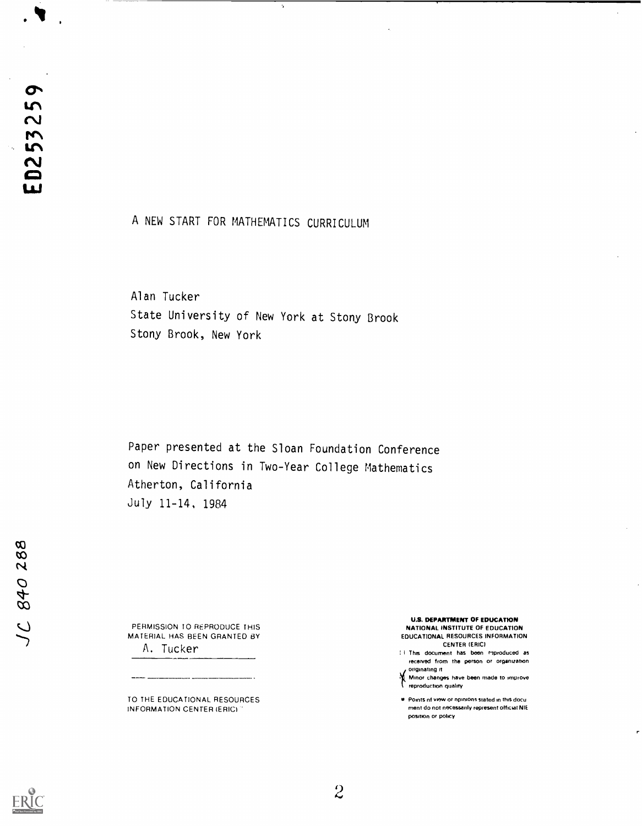7

## A NEW START FOR MATHEMATICS CURRICULUM

 $\gamma$ 

Alan Tucker State University of New York at Stony Brook Stony Brook, New York

Paper presented at the Sloan Foundation Conference on New Directions in Two-Year College Mathematics Atherton, California July 11-14, 1984

PERMISSION TO REPRODUCE THIS MATERIAL HAS BEEN GRANTED BY A. Tucker

TO THE EDUCATIONAL RESOURCES INFORMATION CENTER (ERIC)

#### U.S. DEPARTMENT OF EDUCATION NATIONAL INSTITUTE OF EDUCATION

 $\mathbb{Z}^2$ 

EDUCATIONAL RESOURCES INFORMATION CENTER (ERIC)

<sup>I</sup> This document has boon reproduced as received from the person or organization.<br>originating it

If originating it <sup>i</sup> Minor changes have been made to improve reproduction quality

is Points nt viow or npinions stated in this docu ment do not necessarily represent official NIE positron or policy



 $\overline{c}$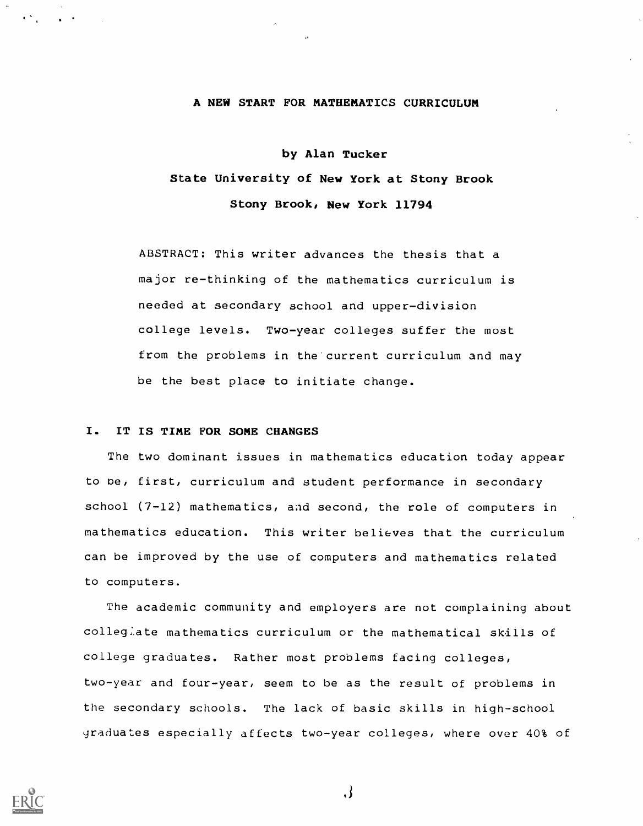### A NEW START FOR MATHEMATICS CURRICULUM

# by Alan Tucker State University of New York at Stony Brook Stony Brook, New York 11794

ABSTRACT; This writer advances the thesis that a major re-thinking of the mathematics curriculum is needed at secondary school and upper-division college levels. Two-year colleges suffer the most from the problems in the current curriculum and may be the best place to initiate change.

#### I. IT IS TIME FOR SOME CHANGES

The two dominant issues in mathematics education today appear to be, first, curriculum and student performance in secondary school (7-12) mathematics, and second, the role of computers in mathematics education. This writer believes that the curriculum can be improved by the use of computers and mathematics related to computers.

The academic community and employers are not complaining about colleg;.ate mathematics curriculum or the mathematical skills of college graduates. Rather most problems facing colleges, two-year and four-year, seem to be as the result of problems in the secondary schools. The lack of basic skills in high-school graduates especially affects two-year colleges, where over 40% of



 $\cdot$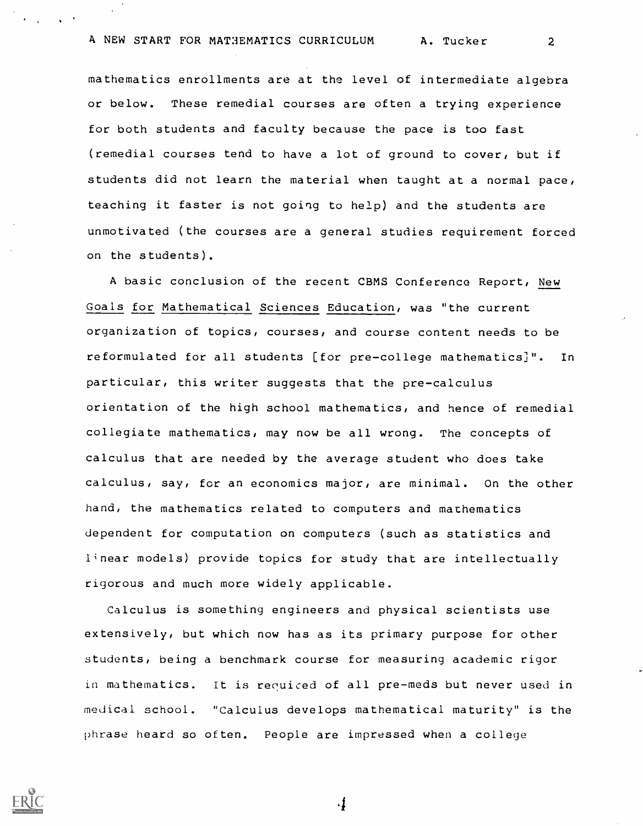mathematics enrollments are at the level of intermediate algebra or below. These remedial courses are often a trying experience for both students and faculty because the pace is too fast (remedial courses tend to have a lot of ground to cover, but if students did not learn the material when taught at a normal pace, teaching it faster is not going to help) and the students are unmotivated (the courses are a general studies requirement forced on the students).

A basic conclusion of the recent CBMS Conference Report, New Goals for Mathematical Sciences Education, was "the current organization of topics, courses, and course content needs to be reformulated for all students [for pre-college mathematics]". In particular, this writer suggests that the pre-calculus orientation of the high school mathematics, and hence of remedial collegiate mathematics, may now be all wrong. The concepts of calculus that are needed by the average student who does take calculus, say, for an economics major, are minimal. On the other hand, the mathematics related to computers and mathematics dependent for computation on computers (such as statistics and linear models) provide topics for study that are intellectually rigorous and much more widely applicable.

Calculus is something engineers and physical scientists use extensively, but which now has as its primary purpose for other students, being a benchmark course for measuring academic rigor in mathematics. It is recuiced of all pre-meds but never used in medical school. "Calculus develops mathematical maturity" is the phrase heard so often. People are impressed when a college



4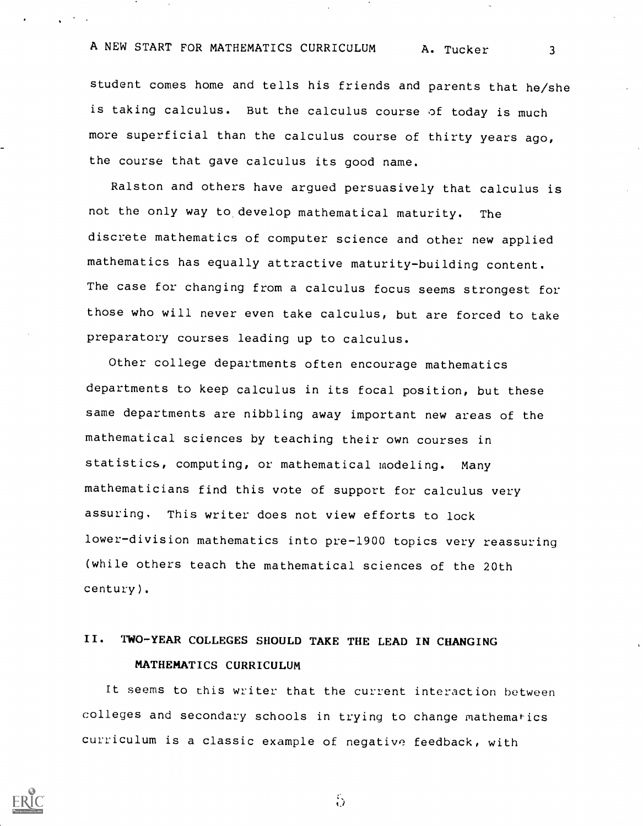student comes home and tells his friends and parents that he/she is taking calculus. But the calculus course of today is much more superficial than the calculus course of thirty years ago, the course that gave calculus its good name.

Ralston and others have argued persuasively that calculus is not the only way to, develop mathematical maturity. The discrete mathematics of computer science and other new applied mathematics has equally attractive maturity-building content. The case for changing from a calculus focus seems strongest for those who will never even take calculus, but are forced to take preparatory courses leading up to calculus.

Other college departments often encourage mathematics departments to keep calculus in its focal position, but these same departments are nibbling away important new areas of the mathematical sciences by teaching their own courses in statistics, computing, or mathematical modeling. Many mathematicians find this vote of support for calculus very assuring. This writer does not view efforts to lock lower-division mathematics into pre-1900 topics very reassuring (while others teach the mathematical sciences of the 20th century).

## II. TWO-YEAR COLLEGES SHOULD TAKE THE LEAD IN CHANGING MATHEMATICS CURRICULUM

It seems to this writer that the current interaction between colleges and secondary schools in trying to change mathematics curriculum is a classic example of negative feedback, with



 $\ddot{\Omega}$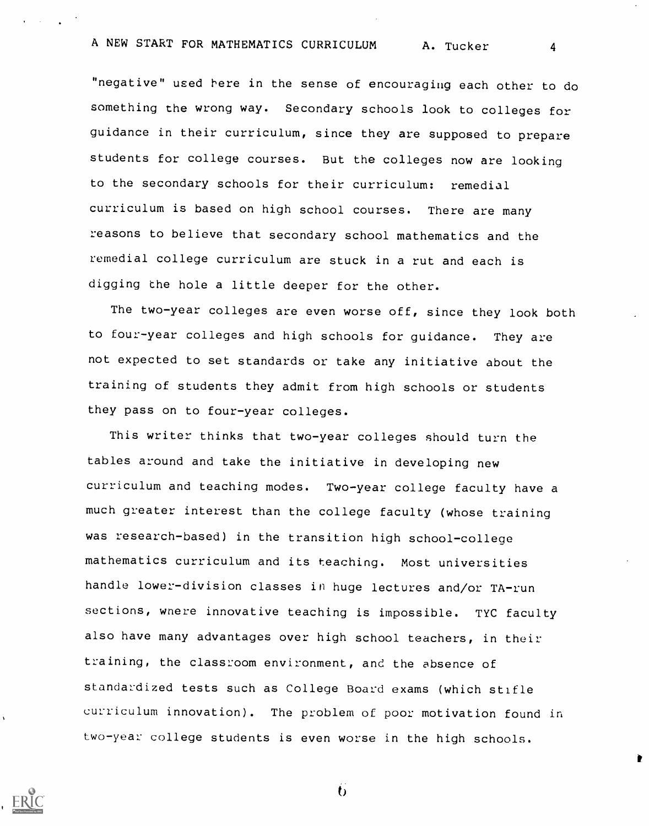"negative" used here in the sense of encouraging each other to do something the wrong way. Secondary schools look to colleges for guidance in their curriculum, since they are supposed to prepare students for college courses. But the colleges now are looking to the secondary schools for their curriculum: remedial curriculum is based on high school courses. There are many reasons to believe that secondary school mathematics and the remedial college curriculum are stuck in a rut and each is digging the hole a little deeper for the other.

The two-year colleges are even worse off, since they look both to four-year colleges and high schools for guidance. They are not expected to set standards or take any initiative about the training of students they admit from high schools or students they pass on to four-year colleges.

This writer thinks that two-year colleges should turn the tables around and take the initiative in developing new curriculum and teaching modes. Two-year college faculty have a much greater interest than the college faculty (whose training was research-based) in the transition high school-college mathematics curriculum and its teaching. Most universities handle lower-division classes in huge lectures and/or TA-run sections, wnere innovative teaching is impossible. TYC faculty also have many advantages over high school teachers, in their training, the classroom environment, and the absence of standardized tests such as College Board exams (which stifle curriculum innovation). The problem of poor motivation found in two-year college students is even worse in the high schools.



 $\mathbf{v}$ 

t)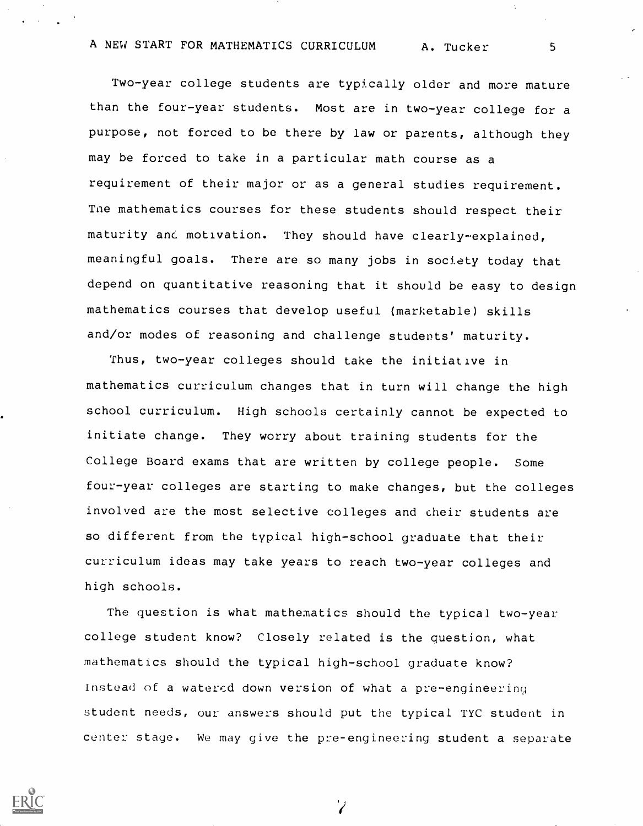Two-year college students are typically older and more mature than the four-year students. Most are in two-year college for <sup>a</sup> purpose, not forced to be there by law or parents, although they may be forced to take in a particular math course as a requirement of their major or as a general studies requirement. Tne mathematics courses for these students should respect their maturity and motivation. They should have clearly-explained, meaningful goals. There are so many jobs in society today that depend on quantitative reasoning that it should be easy to design mathematics courses that develop useful (marketable) skills and/or modes of reasoning and challenge students' maturity.

Thus, two-year colleges should take the initiative in mathematics curriculum changes that in turn will change the high school curriculum. High schools certainly cannot be expected to initiate change. They worry about training students for the College Board exams that are written by college people. Some four-year colleges are starting to make changes, but the colleges involved are the most selective colleges and their students are so different from the typical high-school graduate that their curriculum ideas may take years to reach two-year colleges and high schools.

The question is what mathematics should the typical two-year college student know? Closely related is the question, what mathematics should the typical high-school graduate know? Instead of a watered down version of what a pre-engineering student needs, our answers should put the typical TYC student in center stage. We may give the pre-engineering student a separate



 $\overline{\mathbf{Z}}$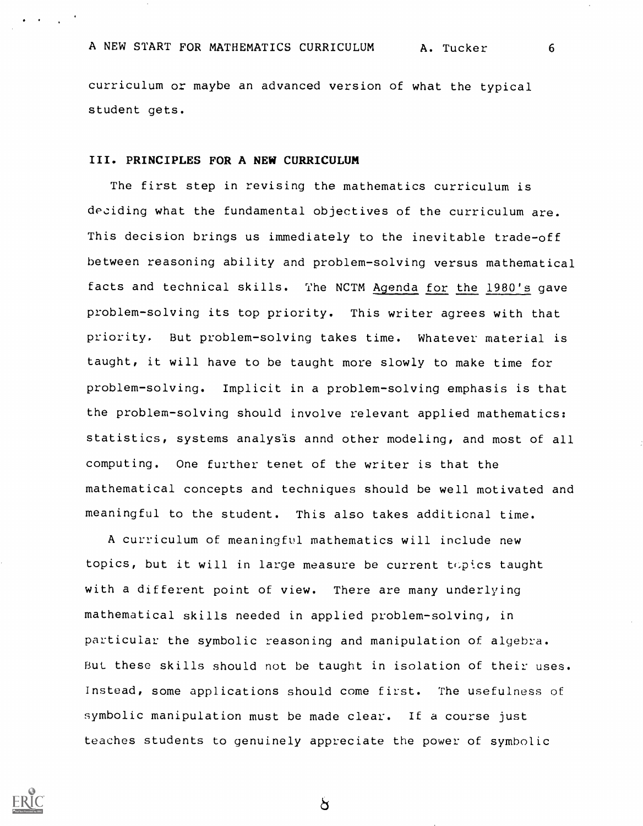curriculum or maybe an advanced version of what the typical student gets.

### III. PRINCIPLES FOR A NEW CURRICULUM

The first step in revising the mathematics curriculum is deciding what the fundamental objectives of the curriculum are. This decision brings us immediately to the inevitable trade-off between reasoning ability and problem-solving versus mathematical facts and technical skills. The NCTM Agenda for the 1980's gave problem-solving its top priority. This writer agrees with that priority. But problem-solving takes time. Whatever material is taught, it will have to be taught more slowly to make time for problem-solving. Implicit in a problem-solving emphasis is that the problem-solving should involve relevant applied mathematics: statistics, systems analysis annd other modeling, and most of all computing. One further tenet of the writer is that the mathematical concepts and techniques should be well motivated and meaningful to the student. This also takes additional time.

A curriculum of meaningful mathematics will include new topics, but it will in large measure be current topics taught with a different point of view. There are many underlying mathematical skills needed in applied problem-solving, in particular the symbolic reasoning and manipulation of algebra. But these skills should not be taught in isolation of their uses. Instead, some applications should come first. The usefulness of symbolic manipulation must be made clear. It a course just teaches students to genuinely appreciate the power of symbolic



ð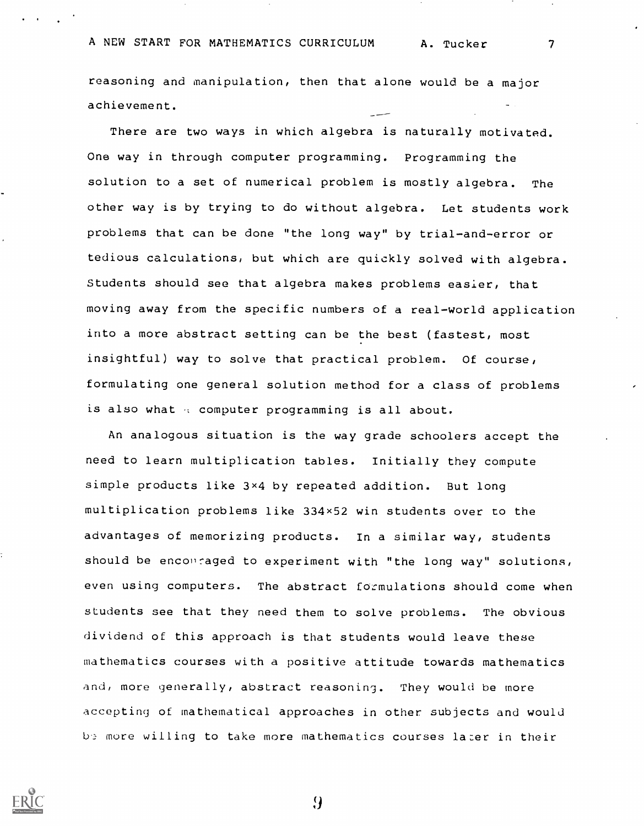reasoning and manipulation, then that alone would be a major achievement.

There are two ways in which algebra is naturally motivated. One way in through computer programming. Programming the solution to a set of numerical problem is mostly algebra. The other way is by trying to do without algebra. Let students work problems that can be done "the long way" by trial-and-error or tedious calculations, but which are quickly solved with algebra. Students should see that algebra makes problems easier, that moving away from the specific numbers of a real-world application into a more abstract setting can be the best (fastest, most insightful) way to solve that practical problem. Of course, formulating one general solution method for a class of problems is also what  $\alpha$  computer programming is all about.

An analogous situation is the way grade schoolers accept the need to learn multiplication tables. Initially they compute simple products like 3x4 by repeated addition. But long multiplication problems like 334x52 win students over to the advantages of memorizing products. In a similar way, students should be enconraged to experiment with "the long way" solutions, even using computers. The abstract formulations should come when students see that they need them to solve problems. The obvious dividend of this approach is that students would leave these mathematics courses with a positive attitude towards mathematics and, more generally, abstract reasoning. They would be more accepting of mathematical approaches in other subjects and would be more willing to take more mathematics courses later in their

 $\boldsymbol{\theta}$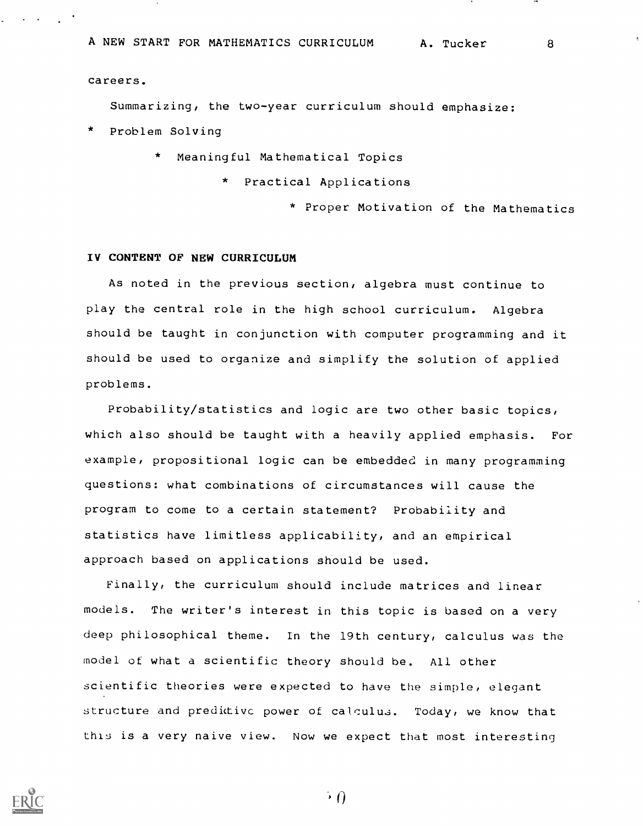careers.

Summarizing, the two-year curriculum should emphasize:

Problem Solving

\* Meaningful Mathematical Topics

Practical Applications

\* Proper Motivation of the Mathematics

### IV CONTENT OF NEW CURRICULUM

As noted in the previous section, algebra must continue to play the central role in the high school curriculum. Algebra should be taught in conjunction with computer programming and it should be used to organize and simplify the solution of applied problems.

Probability/statistics and logic are two other basic topics, which also should be taught with a heavily applied emphasis. For example, propositional logic can be embedded in many programming questions: what combinations of circumstances will cause the program to come to a certain statement? Probability and statistics have limitless applicability, and an empirical approach based on applications should be used.

Finally, the curriculum should include matrices and linear models. The writer's interest in this topic is based on a very deep philosophical theme. In the 19th century, calculus was the model of what a scientific theory should be. All other scientific theories were expected to have the simple, elegant structure and predictive power of calculus. Today, we know that this is a very naive view. Now we expect that most interesting

 $\cdot$  ()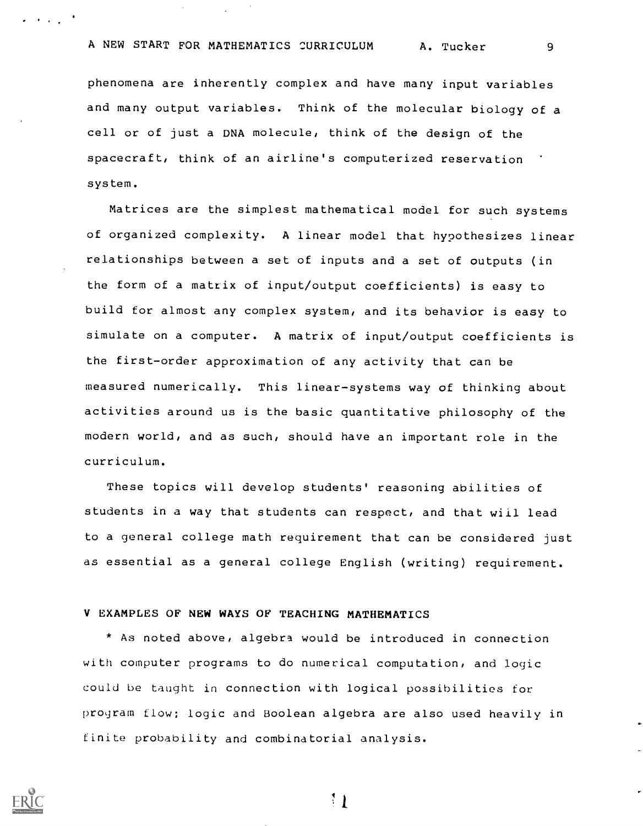phenomena are inherently complex and have many input variables and many output variables. Think of the molecular biology of a cell or of just a DNA molecule, think of the design of the spacecraft, think of an airline's computerized reservation system.

Matrices are the simplest mathematical model for such systems of organized complexity. A linear model that hypothesizes linear relationships between a set of inputs and a set of outputs (in the form of a matrix of input/output coefficients) is easy to build for almost any complex system, and its behavior is easy to simulate on a computer. A matrix of input/output coefficients is the first-order approximation of any activity that can be measured numerically. This linear-systems way of thinking about activities around us is the basic quantitative philosophy of the modern world, and as such, should have an important role in the curriculum.

These topics will develop students' reasoning abilities of students in a way that students can respect, and that will lead to a general college math requirement that can be considered just as essential as a general college English (writing) requirement.

## V EXAMPLES OF NEW WAYS OF TEACHING MATHEMATICS

\* As noted above, algebra would be introduced in connection with computer programs to do numerical computation, and logic could be taught in connection with logical possibilities for program flow; logic and Boolean algebra are also used heavily in finite probability and combinatorial analysis.



 $\mathcal{L} = \mathcal{L} \times \mathcal{L} = \mathcal{L}$ 

 $11$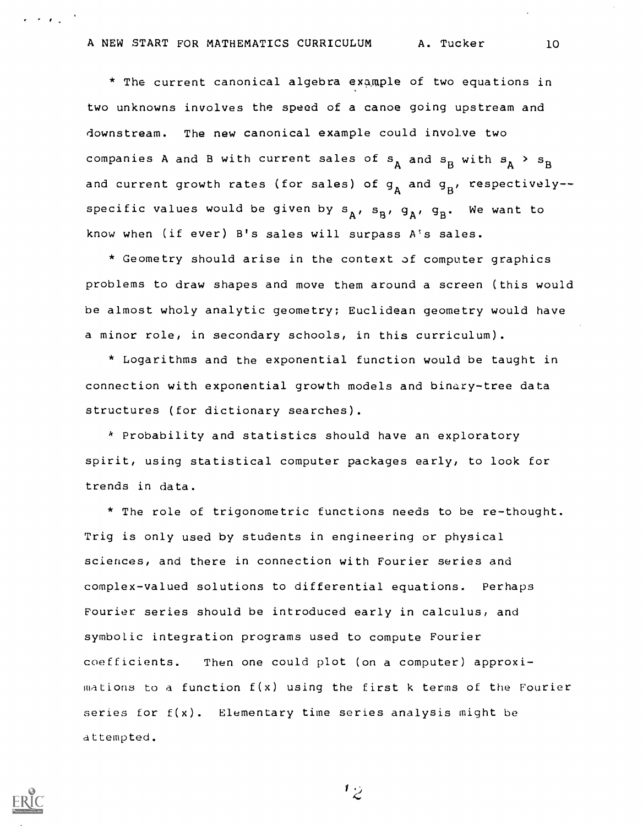\* The current canonical algebra example of two equations in two unknowns involves the speed of a canoe going upstream and downstream. The new canonical example could involve two companies A and B with current sales of  $\mathtt{s}_{\mathtt{A}}$  and  $\mathtt{s}_{\mathtt{B}}$  with  $\mathtt{s}_{\mathtt{A}}$  >  $\mathtt{s}_{\mathtt{B}}$ and current growth rates (for sales) of  $g_A$  and  $g_B$ , respectively-specific values would be given by  $s_A$ ,  $s_B$ ,  $g_A$ ,  $g_B$ . We want to know when (if ever) B's sales will surpass A's sales.

\* Geometry should arise in the context of computer graphics problems to draw shapes and move them around a screen (this would be almost wholy analytic geometry; Euclidean geometry would have a minor role, in secondary schools, in this curriculum).

\* Logarithms and the exponential function would be taught in connection with exponential growth models and binary-tree data structures (for dictionary searches).

\* Probability and statistics should have an exploratory spirit, using statistical computer packages early, to look for trends in data.

\* The role of trigonometric functions needs to be re-thought. Trig is only used by students in engineering or physical sciences, and there in connection with Fourier series and complex-valued solutions to differential equations. Perhaps Fourier series should be introduced early in calculus, and symbolic integration programs used to compute Fourier coefficients. Then one could plot (on a computer) approxi $m$ ations to a function  $f(x)$  using the first k terms of the Fourier series for  $f(x)$ . Elementary time series analysis might be attempted.



 $\epsilon$  , where  $\epsilon$ 

ن 1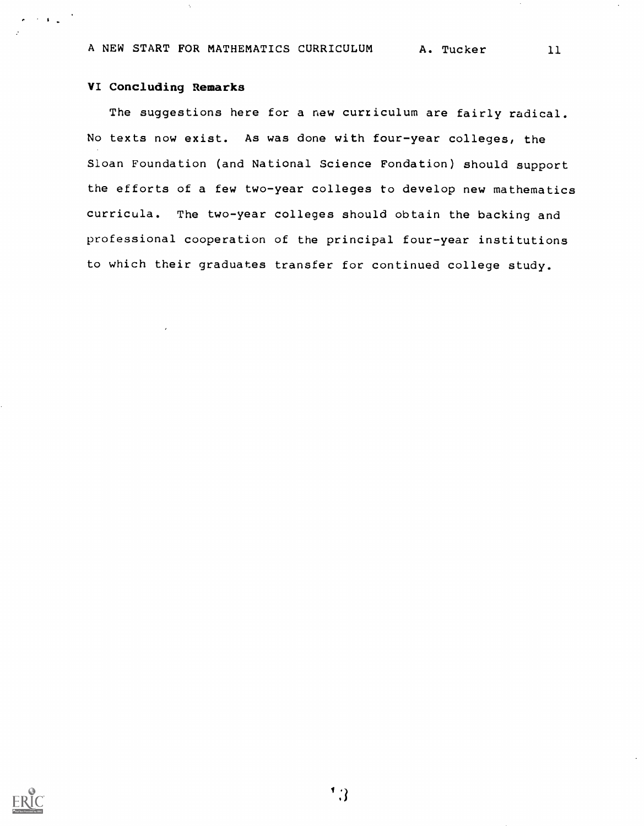## VI Concluding Remarks

 $\mathcal{F}=\mathbf{1}_{\mathcal{F}^{\text{max}}_{\text{max}}}$ 

The suggestions here for a new curriculum are fairly radical. No texts now exist. As was done with four-year colleges, the Sloan Foundation (and National Science Fondation) should support the efforts of a few two-year colleges to develop new mathematics curricula. The two-year colleges should obtain the backing and professional cooperation of the principal four-year institutions to which their graduates transfer for continued college study.